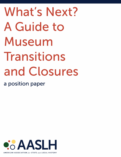# **What's Next?** A Guide to Museum Transitions and Closures

a position paper

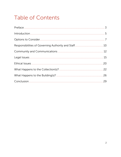#### **Table of Contents**

| 26 |
|----|
|    |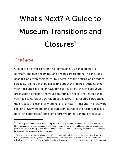## What's Next? A Guide to Museum Transitions and  $Closures<sup>1</sup>$  $Closures<sup>1</sup>$  $Closures<sup>1</sup>$

#### <span id="page-2-0"></span>Preface

One of the many lessons that history teaches us is that change is constant, and that beginnings and endings are frequent. This includes changes, and even endings, for museums, historic houses, and historical societies, too. You may be despairing about the financial struggle that your museum is facing, or have done some careful thinking about your organization's mission and your community's needs, and realized that you need to consider a transition or a closure. This resource introduces the process of closing (or merging, etc.) a history museum. The following sections review the options for transition; consider the responsibilities of governing authorities<sup>[2](#page-2-2)</sup> and staff (and/or volunteers) in the process, as

<span id="page-2-1"></span><sup>&</sup>lt;sup>1</sup> For the purposes of this resource, we are using the term "history museum," but intend that to mean all types of history organizations (house museums, historical societies, etc.). This resource addresses historical organizations with 501(c)3 status, a history-related mission, and a collection of some sort, including some or all of the following: historical objects, library materials, or structures.

<span id="page-2-2"></span> $2$  The governing entity for most private, nonprofit organizations is called a board of directors or board of trustees. For non-traditional history organizations, the governing entity might be a department within city, county, state, federal, or tribal government. It may also be part of a parks agency, corporation, or college or university department.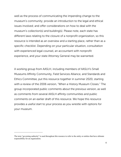well as the process of communicating the impending change to the museum's community; provide an introduction to the legal and ethical issues involved; and offer considerations on how to deal with the museum's collection(s) and building(s). Please note, each state has different laws relating to the closure of a nonprofit organization, so this resource is intended as an overview and a starting place, rather than as a specific checklist. Depending on your particular situation, consultation with experienced legal counsel, an accountant with nonprofit experience, and your state Attorney General may be warranted.

A working group from AASLH, including members of AASLH's Small Museums Affinity Community, Field Services Alliance, and Standards and Ethics Committee, put this resource together in summer 2020, starting with a review of the 2006 version, "When a History Museum Closes." The group incorporated public comments about the previous version, as well as comments from several AASLH affinity communities and public comments on an earlier draft of this resource. We hope this resource provides a useful start to your process as you wrestle with options for your museum.

The term "governing authority" is used throughout this resource to refer to the entity or entities that have ultimate responsibility for an organization.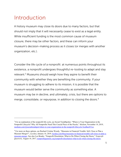#### <span id="page-4-0"></span>Introduction

A history museum may close its doors due to many factors, but that should not imply that it will necessarily cease to exist as a legal entity. While insufficient funding is the most common cause of museum closure, there may be other factors, and these can inform your museum's decision-making process as it closes (or merges with another organization, etc.).

Consider the life cycle of a nonprofit: at numerous points throughout its existence, a nonprofit undergoes thoughtful re-tooling to adapt and stay relevant. $3$  Museums should weigh how they aspire to benefit their community with whether they are benefiting the community. If your museum is struggling to adhere to its mission, it is possible that the museum would better serve the community as something else. A museum may be in decline, and ultimately, crisis, but there are options to merge, consolidate, or repurpose, in addition to closing the doors.<sup>[4](#page-4-2)</sup>

<span id="page-4-1"></span><sup>&</sup>lt;sup>3</sup> For an explanation of the nonprofit life cycle, see Social TrendSpotter, "Where is Your Organization in the Nonprofit Lifecycle? Why All Nonprofits Need This Crucial Piece of the Puzzle," *Medium*, November 14, 2019, [medium.com/@socialtrendspot/where-is-your-organization-in-the-nonprofit-lifecycle-5ecdbac831ce.](mailto:medium.com/@socialtrendspot/where-is-your-organization-in-the-nonprofit-lifecycle-5ecdbac831ce)

<span id="page-4-2"></span><sup>4</sup> For more on these options, see Rachael Cristine Woody, "Museums in Financial Trouble: Sell, Close or Plan a Museum Merger?", *Lucidea*, January 16, 2019[, lucidea.com/blog/museums-in-financial-trouble-sell-close-or-plan-a](https://lucidea.com/blog/museums-in-financial-trouble-sell-close-or-plan-a-museum-merger)[museum-merger.](https://lucidea.com/blog/museums-in-financial-trouble-sell-close-or-plan-a-museum-merger) See also Lee Bruder, "Nonprofit Dissolution: What to Do When Closing the Doors," *Nonprofit Quarterly,* August 18, 2017, [nonprofitquarterly.org/nonprofit-dissolution-what-to-do-when-closing-the-doors.](https://nonprofitquarterly.org/nonprofit-dissolution-what-to-do-when-closing-the-doors/)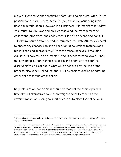Many of these solutions benefit from foresight and planning, which is not possible for every museum, particularly one that is experiencing rapid financial deterioration. However, in all instances, it is important to review your museum's by-laws and policies regarding the management of collections, properties, and endowments. It is also advisable to consult with the museum's attorney and, if warranted, the state Attorney General to ensure any deaccession and disposition of collections materials and funds is handled appropriately.[5](#page-5-0) Does the museum have a dissolution clause in its governing documents?[6](#page-5-1) If so, it needs to be followed. If not, the governing authority should establish and prioritize goals for the dissolution to be clear about what will be achieved by the end of the process. Also keep in mind that there will be costs to closing or pursuing other options for the organization.

Regardless of your decision, it should be made at the earliest point in time after all alternatives have been weighed so as to minimize the adverse impact of running so short of cash as to place the collection in

<span id="page-5-0"></span><sup>&</sup>lt;sup>5</sup> Organizations that operate under territorial or tribal governments should check with their appropriate office about any applicable policies.

<span id="page-5-1"></span> $6$  A dissolution clause provides direction about the disposition of a nonprofit's assets in the event the organization is dissolved. Some places to look for the museum's dissolution clause are: in the organizing document, such as the articles of incorporation or the by-laws (filed with the state at the founding of the organization); on Form 1023, which was filed for federal tax exemption (section  $501(c)$ ) status–the IRS requires a dissolution clause); or, if unable to find a dissolution clause in either of those, state law may control nonprofit dissolution.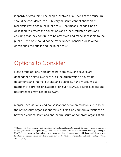jeopardy of creditors.<sup>[7](#page-6-1)</sup> The people involved at all levels of the museum should be considered, too. A history museum cannot abandon its responsibility to act in the public trust. That means recognizing an obligation to protect the collections and other restricted assets and ensuring that they continue to be preserved and made accessible to the public. Decisions should not be made under financial duress without considering the public and the public trust.

#### <span id="page-6-0"></span>Options to Consider

None of the options highlighted here are easy, and several are dependent on state laws as well as the organization's governing documents and internal policies and practices. If the museum is a member of a professional association such as AASLH, ethical codes and best practices may also be relevant.

Mergers, acquisitions, and consolidations between museums tend to be the options that organizations think of first. Can you form a relationship between your museum and another museum or nonprofit organization

<span id="page-6-1"></span><sup>7</sup> Whether collections objects, which are held in trust for the public, can be liquidated to satisfy claims of creditors is an open question that may depend on applicable state statutory and case law. In a judicial dissolution proceeding, a New York court suggested that while restricted assets, including collections objects with donor restrictions, may not be subject to creditors' claims, unrestricted assets may be. See Matter of Friends of Long Island's Heritage, 80 A.D. 3rd 223 (2010).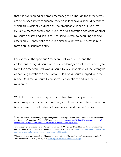that has overlapping or complementary goals? Though the three terms are often used interchangeably, they do in fact have distinct differences which are succinctly outlined by the American Alliance of Museums (AAM).[8](#page-7-0) A merger entails one museum or organization acquiring another museum's assets and liabilities. Acquisition refers to acquiring specific assets only. Consolidations are in a similar vein: two museums join to form a third, separate entity.

For example, the spacious American Civil War Center and the collections-heavy Museum of the Confederacy consolidated recently to form the American Civil War Museum to take advantage of the strengths of both organizations.[9](#page-7-1) The Portland Harbor Museum merged with the Maine Maritime Museum to preserve its collections and further its mission.<sup>[10](#page-7-2)</sup>

While the first impulse may be to combine two history museums, relationships with other nonprofit organizations can also be explored. In Massachusetts, the Trustees of Reservations and the deCordova

<span id="page-7-0"></span><sup>8</sup> Elizabeth Varner, "Restructuring Nonprofit Organizations: Mergers, Acquisitions, Consolidations, Partnerships and Separations," *American Alliance of Museums,* June 2, 2015, [aam-us.org/2015/06/02/restructuring-nonprofit](https://www.aam-us.org/2015/06/02/restructuring-nonprofit-organizations-mergers-acquisitions-consolidations-partnerships-and-separations/)[organizations-mergers-acquisitions-consolidations-partnerships-and-separations.](https://www.aam-us.org/2015/06/02/restructuring-nonprofit-organizations-mergers-acquisitions-consolidations-partnerships-and-separations/)

<span id="page-7-1"></span><sup>&</sup>lt;sup>9</sup> For an overview of this merger, see Andrew M. Davenport, "A New Civil War Museum Speaks Truths in the Former Capital of the Confederacy," *Smithsonian Magazine*, May 2, 2019[, smithsonianmag.com/history/civil-war](https://www.smithsonianmag.com/history/civil-war-museum-speaks-truths-former-capital-of-confederacy-180972085/)[museum-speaks-truths-former-capital-of-confederacy-180972085.](https://www.smithsonianmag.com/history/civil-war-museum-speaks-truths-former-capital-of-confederacy-180972085/)

<span id="page-7-2"></span><sup>10</sup> For more on this merger, see Mark Thompson, "Lessons from a Museum Merger," *American Association for State and Local History*, August 29, 2018[, aaslh.org/lessons-from-a-museum-merger.](https://aaslh.org/lessons-from-a-museum-merger/)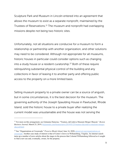Sculpture Park and Museum in Lincoln entered into an agreement that allows the museum to exist as a separate nonprofit, maintained by the Trustees of Reservations.<sup>[11](#page-8-0)</sup> The museum and nonprofit had overlapping missions despite not being two historic sites.

Unfortunately, not all situations are conducive for a museum to form a relationship or partnership with another organization, and other solutions may need to be considered. Although not appropriate for all museums, historic houses in particular could consider options such as changing into a study house or a resident curatorship.[12](#page-8-1) Both of these require relinquishing substantial physical control of the building and any collections in favor of leasing it to another party and offering public access to the property on a more limited basis.

Selling museum property to a private owner can be a source of anguish, but in some circumstances, it is the best decision for the museum. The governing authority of the Joseph Spaulding House in Pawtucket, Rhode Island, sold the historic house to a private buyer after realizing the current model was unsustainable and the house was not serving the

<span id="page-8-0"></span><sup>11</sup> For more on this arrangement, see Gintautas Dumcius, "Trustees, deCordova Museum Merger Okayed*," Boston Business Journal*, March 25, 2019, [bizjournals.com/boston/news/2019/03/25/trustees-decordova-museum-merger](https://www.bizjournals.com/boston/news/2019/03/25/trustees-decordova-museum-merger-okayed.html)[okayed.html.](https://www.bizjournals.com/boston/news/2019/03/25/trustees-decordova-museum-merger-okayed.html)

<span id="page-8-1"></span><sup>12</sup> See "Organizations at Crossroads," *Preserve Rhode Island,* June 16, 2020, [preserveri.org/organizations-at](https://www.preserveri.org/organizations-at-crossroads)[crossroads.](https://www.preserveri.org/organizations-at-crossroads) Another case study of interest is that of Carter's Grove in Williamsburg, Virginia. An internet search turns up a number of news articles about the stages in the process that Colonial Williamsburg followed as it sought to find a new use and, eventually, owner, for the property.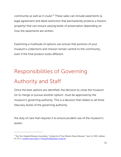community as well as it could.<sup>[13](#page-9-1)</sup> These sales can include easements (a legal agreement and deed restriction that permanently protects a historic property) that can ensure varying levels of preservation depending on how the easements are written.

Examining a multitude of options can ensure that portions of your museum's collections and mission remain central to the community, even if the final product looks different.

### <span id="page-9-0"></span>Responsibilities of Governing Authority and Staff

Once the best options are identified, the decision to close the museum (or to merge or pursue another option) must be approved by the museum's governing authority. This is a decision that relates to all three fiduciary duties of the governing authority:

the duty of care that requires it to ensure prudent use of the museum's assets;

<span id="page-9-1"></span><sup>&</sup>lt;sup>13</sup> See New England Museum Association, "Letting Go of Your Historic House Museum," June 16, 2020, webinar, 01:19:13[, youtube.com/watch?v=VIctiuaNcs0&feature=youtu.be.](https://www.youtube.com/watch?v=VIctiuaNcs0&feature=youtu.be)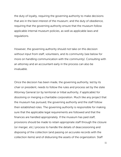the duty of loyalty, requiring the governing authority to make decisions that are in the best interest of the museum; and the duty of obedience, requiring that the governing authority ensure that the museum follow applicable internal museum policies, as well as applicable laws and regulations.

However, the governing authority should not take on this decision without input from staff, volunteers, and its community (see below for more on handling communication with the community). Consulting with an attorney and an accountant early in the process can also be invaluable.

Once the decision has been made, the governing authority, led by its chair or president, needs to follow the rules and process set by the state Attorney General (or by territorial or tribal authority, if applicable) for dissolving or merging a charitable corporation. Much like any project that the museum has pursued, the governing authority and the staff follow their established roles. The governing authority is responsible for making sure that the applicable legal requirements are followed and that the finances are handled appropriately. If the museum has paid staff, provisions should be made to retain appropriate staff through the closure (or merger, etc.) process to handle the details of deaccessioning and disposing of the collection (and passing on accurate records with the collection items) and of disbursing the assets of the organization. Staff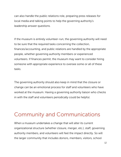can also handle the public relations role, preparing press releases for local media and talking points to help the governing authority's leadership answer questions.

If the museum is entirely volunteer-run, the governing authority will need to be sure that the required tasks concerning the collection, finances/accounting, and public relations are handled by the appropriate people, whether governing authority members or experienced volunteers. If finances permit, the museum may want to consider hiring someone with appropriate experience to oversee some or all of these tasks.

The governing authority should also keep in mind that the closure or change can be an emotional process for staff and volunteers who have worked at the museum. Having a governing authority liaison who checks in with the staff and volunteers periodically could be helpful.

#### <span id="page-11-0"></span>Community and Communications

When a museum undertakes a change that will alter its current organizational structure (whether closure, merger, etc.), staff, governing authority members, and volunteers will feel the impact directly. So will the larger community that includes donors, members, visitors, school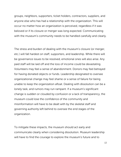groups, neighbors, supporters, ticket holders, contractors, suppliers, and anyone else who has had a relationship with the organization. This will occur no matter how an organization is perceived, regardless if it was beloved or if its closure or merger was long expected. Communicating with the museum's community needs to be handled carefully and clearly.

The stress and burden of dealing with the museum's closure (or merger, etc.) will fall hardest on staff, supporters, and leadership. While there will be governance issues to be resolved, emotional ones will also arise. Any paid staff will be laid off and the loss of income could be devastating. Volunteers may feel a sense of abandonment. Donors may feel betrayed for having donated objects or funds. Leadership designated to oversee organizational change may feel shame or a sense of failure for being unable to keep the organization afloat. Dealing with dissolution can be a lonely task, and rumors may run rampant. If a museum's significant change is sudden or clouded by confusion or a lack of transparency, the museum could lose the confidence of the community and misinformation will have to be dealt with by the skeletal staff and governing authority left behind to oversee the end stages of the organization.

To mitigate these impacts, the museum should act early and communicate clearly when considering dissolution. Museum leadership will have to find the courage to explore the museum's future and to

13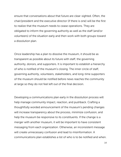ensure that conversations about that future are clear-sighted. Often, the chair/president and the executive director (if there is one) will be the first to realize that the museum needs to cease operations. They are obligated to inform the governing authority as well as the staff (and/or volunteers) of the situation early and then work with both groups toward a dissolution plan.

Once leadership has a plan to dissolve the museum, it should be as transparent as possible about its future with staff, the governing authority, donors, and supporters. It is important to establish a hierarchy of who is notified of the museum's closing. The inner circle of staff, governing authority, volunteers, stakeholders, and long-time supporters of the museum should be notified before news reaches the community at large so they do not feel left out of the final decision.

Developing a communications plan early in the dissolution process will help manage community impact, reaction, and pushback. Crafting a thoughtfully worded announcement of the museum's pending changes will increase transparency about the process, minimize confusion, and help the museum be responsive to its constituents. If the change is a merger with another museum, it will be important to have consistent messaging from each organization. Otherwise, an inconsistent message will create unnecessary confusion and lead to misinformation. A communications plan establishes a list of who is to be notified and when.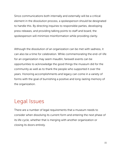Since communications both internally and externally will be a critical element in the dissolution process, a spokesperson should be designated to handle this. By directing inquiries to responsible parties, developing press releases, and providing talking points to staff and board, the spokesperson will minimize misinformation while providing clarity.

Although the dissolution of an organization can be met with sadness, it can also be a time for celebration. While commemorating the end-of-life for an organization may seem maudlin, farewell events can be opportunities to acknowledge the good things the museum did for the community as well as to thank the people who supported it over the years. Honoring accomplishments and legacy can come in a variety of forms with the goal of burnishing a positive and long-lasting memory of the organization.

#### <span id="page-14-0"></span>Legal Issues

There are a number of legal requirements that a museum needs to consider when dissolving its current form and entering the next phase of its life cycle, whether that is merging with another organization or closing its doors entirely.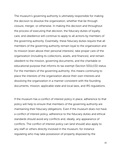The museum's governing authority is ultimately responsible for making the decision to dissolve the organization, whether that be through closure, merger, or otherwise. In making this decision and throughout the process of executing that decision, the fiduciary duties of loyalty, care, and obedience will continue to apply to all actions by members of the governing authority. Essentially, these fiduciary duties require that all members of the governing authority remain loyal to the organization and its mission (even above their personal interests), take proper care of the organization (including its collections, assets, and finances), and remain obedient to the mission, governing documents, and the charitable or educational purpose that informs its tax exempt (Section 501(c)(3)) status. For the members of the governing authority, this means continuing to place the interests of the organization above their own interests and dissolving the organization in a manner consistent with the founding documents, mission, applicable state and local laws, and IRS regulations.

If the museum has a conflict of interest policy in place, adherence to that policy will help to ensure that members of the governing authority are maintaining their fiduciary obligations. Even if the museum does not have a conflict of interest policy, adherence to the fiduciary duties and ethical standards should avoid any conflicts and, ideally, any appearance of conflicts. The conflict of interest policy can (and should) also apply to any staff or others directly involved in the museum, for instance regulating who may take possession of property disposed by the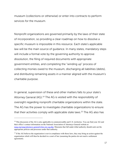museum (collections or otherwise) or enter into contracts to perform services for the museum.

Nonprofit organizations are governed primarily by the laws of their state of incorporation, so providing a clear roadmap on how to dissolve a specific museum is impossible in this resource. Each state's applicable law will be the main source of guidance. In many states, mandatory steps will include a formal vote by the governing authority to approve dissolution, the filing of required documents with appropriate government entities, and completing the "winding up" process of collecting monies owed to the museum, discharging all liabilities (debts), and distributing remaining assets in a manner aligned with the museum's charitable purpose.

In general, supervision of these and other matters falls to your state's Attorney General (AG).<sup>[14](#page-16-0)</sup> The AG is vested with the responsibility of oversight regarding nonprofit charitable organizations within the state. The AG has the power to investigate charitable organizations to ensure that their activities comply with applicable state laws.[15](#page-16-1) The AG also has

<span id="page-16-0"></span><sup>&</sup>lt;sup>14</sup> This discussion of the AG is also applicable in commonwealths and U.S. territories. You can find your AG and their office's contact information on the National Association of Attorneys General website at [naag.org/naag/attorneys-general/whos-my-ag.php.](https://www.naag.org/naag/attorneys-general/whos-my-ag.php) Museums that fall under tribal authority should seek out the appropriate policies and processes under that authority.

<span id="page-16-1"></span><sup>&</sup>lt;sup>15</sup> If the AG believes the organization is not in compliance with those laws, they may bring an action against the organization which will then be decided in a court of law (assuming the parties do not reach a settlement agreement).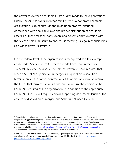the power to oversee charitable trusts or gifts made to the organizations. Finally, the AG has oversight responsibility when a nonprofit charitable organization is going through the dissolution process, ensuring compliance with applicable laws and proper distribution of charitable assets. For these reasons, early, open, and honest communication with the AG can help a museum to ensure it is meeting its legal responsibilities as it winds down its affairs.[16](#page-17-0)

On the federal level, if the organization is recognized as a tax-exempt entity under Section 501(c)(3), there are additional requirements to successfully close the doors. The Internal Revenue Code requires that when a 501(c)(3) organization undergoes a liquidation, dissolution, termination, or substantial contraction of its operations, it must inform the IRS of that termination on its final annual return (the version of the Form 990 required of the organization).<sup>[17](#page-17-1)</sup> In addition to the appropriate Form 990, the IRS will require certain supporting documents (such as the articles of dissolution or merger) and Schedule N (used to detail

<span id="page-17-0"></span><sup>&</sup>lt;sup>16</sup> Some jurisdictions have additional oversight and reporting requirements. For instance, in Pennsylvania, the nonprofit must apply to the Orphans' Court for permission to distribute the nonprofit assets. In New York, a verified petition must be submitted to the courts with required supporting documents unless the nonprofit fails to meet certain financial thresholds. Nolo maintains a website with resources on nonprofit dissolution requirements in all fifty states, available at [nolo.com/legal-encyclopedia/50-state-guide-dissolving-501c3-nonprofit-corporation.](https://www.nolo.com/legal-encyclopedia/50-state-guide-dissolving-501c3-nonprofit-corporation) Another vital resource is the website for your Attorney General. See footnote 14.

<span id="page-17-1"></span><sup>&</sup>lt;sup>17</sup> This will be Form 990-N, Form 990-EZ, or Form 990, depending on the organization's gross receipts and total assets in the final fiscal year. More detailed information is provided by the IRS at [irs.gov/charities-non](https://www.irs.gov/charities-non-profits/termination-of-an-exempt-organization)[profits/termination-of-an-exempt-organization.](https://www.irs.gov/charities-non-profits/termination-of-an-exempt-organization)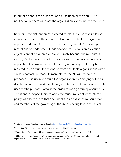information about the organization's dissolution or merger).<sup>[18](#page-18-0)</sup> This notification process will close the organization's account with the IRS.[19](#page-18-1)

Regarding the distribution of restricted assets, it may be that limitations on use or disposal of those assets will remain in effect unless judicial approval to deviate from those restrictions is granted.<sup>[20](#page-18-2)</sup> For example, restrictions on endowment funds or donor restrictions on collection objects cannot be ignored or broken simply because the museum is closing. Additionally, under the museum's articles of incorporation or applicable state law, upon dissolution any remaining assets may be required to be distributed to one or more charitable organizations with a similar charitable purpose. In many states, the AG will review the proposed dissolution to ensure the organization is complying with this distribution restraint and that the organization's assets will continue to be used for the purpose stated in the organization's governing documents.<sup>[21](#page-18-3)</sup> This is another opportunity to apply the museum's conflict of interest policy, as adherence to that document should assist the museum staff and members of the governing authority in meeting legal and ethical

<span id="page-18-0"></span><sup>18</sup> Information about Schedule N can be found a[t irs.gov/forms-pubs/about-schedule-n-form-990.](https://www.irs.gov/forms-pubs/about-schedule-n-form-990)

<span id="page-18-1"></span> $19$  Your state AG may require certified copies of some or all of the IRS paperwork.

<span id="page-18-2"></span> $20$  Consulting and/or working with an accountant with nonprofit experience is also recommended.

<span id="page-18-3"></span> $21$  This distribution requirement may be avoided if the organization's charitable purpose has become illegal, impossible, or impracticable. This depends on the state's relevant laws.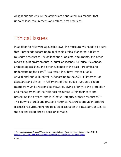obligations and ensure the actions are conducted in a manner that upholds legal requirements and ethical best practices.

#### <span id="page-19-0"></span>Ethical Issues

In addition to following applicable laws, the museum will need to be sure that it proceeds according to applicable ethical standards. A history museum's resources—its collections of objects, documents, and other records; built environments, cultural landscapes, historical viewsheds, archaeological sites, and other evidence of the past—are critical to understanding the past.<sup>[22](#page-19-1)</sup> As a result, they have immeasurable educational and cultural value. According to the AASLH Statement of Standards and Ethics, "In fulfillment of their public trust, association members must be responsible stewards, giving priority to the protection and management of the historical resources within their care and preserving the physical and intellectual integrity of these resources.["23](#page-19-2) This duty to protect and preserve historical resources should inform the discussions surrounding the possible dissolution of a museum, as well as the actions taken once a decision is made.

<span id="page-19-1"></span><sup>22</sup> *Statement of Standards and Ethics*, American Association for State and Local History, revised 2018: 1, [download.aaslh.org/AASLH+Statement+of+Standards+and+Ethics+-+Revised+2018.pdf.](http://download.aaslh.org/AASLH+Statement+of+Standards+and+Ethics+-+Revised+2018.pdf)

<span id="page-19-2"></span> $23$  Ibid., 2.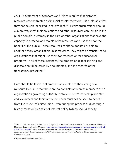AASLH's Statement of Standards and Ethics requires that historical resources not be treated as financial assets; therefore, it is preferable that they not be sold or seized to satisfy debt. $24$  History organizations should explore ways that their collections and other resources can remain in the public domain, preferably in the care of other organizations that have the capacity to preserve and maintain the resources and use them for the benefit of the public. These resources might be donated or sold to another history organization. In some cases, they might be transferred to organizations that might use them for research or for educational programs. In all of these instances, the process of deaccessioning and disposal should be carefully documented, and the records of the transactions preserved.[25](#page-20-1)

Care should be taken in all transactions related to the closing of a museum to ensure that there are no conflicts of interest. Members of an organization's governing authority, history museum leadership and staff, and volunteers and their family members must not be seen to benefit from the museum's dissolution. Even during the process of dissolving, a history museum's conflict of interest policy (which should specify

<span id="page-20-0"></span> $24$  Ibid., 2. This view as well as the other ethical principles mentioned are also reflected in the American Alliance of Museums' *Code of Ethics for Museums* [\(aam-us.org/programs/ethics-standards-and-professional-practices/code-of](https://www.aam-us.org/programs/ethics-standards-and-professional-practices/code-of-ethics-for-museums)[ethics-for-museums\)](https://www.aam-us.org/programs/ethics-standards-and-professional-practices/code-of-ethics-for-museums). Further guidance concerning the appropriate use of funds realized from the sale of deaccessioned objects may be found in AAM's white paper *Direct Care of Collections: Ethics, Guidelines and Recommendations* (*.*

<span id="page-20-1"></span><sup>25</sup> *Statement of Standards and Ethics,* 2.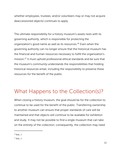whether employees, trustees, and/or volunteers may or may not acquire deaccessioned objects) continues to apply.

The ultimate responsibility for a history museum's assets rests with its governing authority, which is responsible for protecting the organization's good name as well as its resources.[26](#page-21-1) Even when the governing authority can no longer ensure that the historical museum has the financial and human resources necessary to fulfill the organization's mission,<sup>[27](#page-21-2)</sup> it must uphold professional ethical standards and be sure that the museum's community understands the responsibilities that holding historical resources entail, including the responsibility to preserve these resources for the benefit of the public.

#### <span id="page-21-0"></span>What Happens to the Collection(s)?

When closing a history museum, the goal should be for the collection to continue to be used for the benefit of the public. Transferring ownership to another museum can ensure that proper standards of care will be maintained and that objects will continue to be available for exhibition and study. It may not be possible to find a single museum that can take on the entirety of the collection; consequently, the collection may need

<span id="page-21-1"></span> $26$  Ibid., 3.

<span id="page-21-2"></span> $27$  Ibid., 3.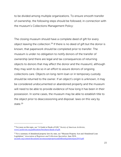to be divided among multiple organizations. To ensure smooth transfer of ownership, the following steps should be followed, in connection with the museum's Collections Management Policy:

The closing museum should have a complete deed of gift for every object leaving the collection.[28](#page-22-0) If there is no deed of gift but the donor is known, that paperwork should be completed prior to transfer. The museum is under no obligation to notify donors of the transfer of ownership (and there are legal and tax consequences of returning objects to donors that may affect the donor and the museum), although they may wish to do so in an effort to assure donors of ongoing collections care. Objects on long-term loan or in temporary custody should be returned to the owner. If an object's origin is unknown, it may be considered undocumented or abandoned property and the museum will need to be able to provide evidence of how long it has been in their possession. In some cases, the museum may be able to establish title to the object prior to deaccessioning and disposal: laws on this vary by state<sup>[29](#page-22-1)</sup>

<span id="page-22-0"></span><sup>28</sup> For more on this topic, see "A Guide to Deeds of Gift," *Society of American Archivists*, [www2.archivists.org/publications/brochures/deeds-of-gift.](https://www2.archivists.org/publications/brochures/deeds-of-gift)

<span id="page-22-1"></span><sup>&</sup>lt;sup>29</sup> For a summary of abandoned property laws by state, see "Museum Property Acts and Abandoned Loan Legislation," *Association of Registrars and Collections Specialists,* June 2018, [arcsinfo.org/content/documents/arcsmuseumpropertyandoldloanlegislationjune2018.pdf.](https://www.arcsinfo.org/content/documents/arcsmuseumpropertyandoldloanlegislationjune2018.pdf.)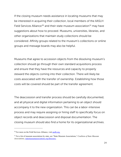If the closing museum needs assistance in locating museums that may be interested in acquiring their collection, local members of the AASLH Field Services Alliance<sup>[30](#page-23-0)</sup> and their state museum association<sup>[31](#page-23-1)</sup> may have suggestions about how to proceed. Museums, universities, libraries, and other organizations that maintain study collections should be considered. Affinity groups related to the museum's collections or online groups and message boards may also be helpful.

Museums that agree to accession objects from the dissolving museum's collection should go through their own standard acquisitions process and ensure that they have the resources and capacity to properly steward the objects coming into their collection. There will likely be costs associated with the transfer of ownership. Establishing how those costs will be covered should be part of the transfer agreement.

The deaccession and transfer process should be carefully documented, and all physical and digital information pertaining to an object should accompany it to the new organization. This can be a labor-intensive process and may require assigning or hiring staff to specifically focus on object records and deaccession and disposal documentation. The closing museum should also find a home for its organizational archives.

<span id="page-23-0"></span><sup>&</sup>lt;sup>30</sup> For more on the Field Services Alliance, visit aaslh.org.

<span id="page-23-1"></span><sup>31</sup> For a list of museum associations by state, see "State Museum Associations," *Coalition of State Museum Associations*[, statemuseumassociations.org/directory.](https://statemuseumassociations.org/directory/)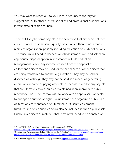You may want to reach out to your local or county repository for suggestions, or to other archival societies and professional organizations in your state or region for help.

There will likely be some objects in the collection that either do not meet current standards of museum quality, or for which there is not a viable recipient organization, possibly including education or study collections. The museum will need to deaccession those items as well and select an appropriate disposal option in accordance with its Collection Management Policy. Any income realized from the disposal of collections objects may be used for the direct care of other objects that are being transferred to another organization. They may be sold or disposed of, although they may not be sold as a means of generating operational income or paying off debts.<sup>[32](#page-24-0)</sup> Records related to any objects that are ultimately sold should be maintained in an appropriate public repository. The museum may wish to work with an appraiser $33$  or dealer to arrange an auction of higher-value items, then organize a public sale of items of less monetary or cultural value. Museum equipment, furniture, and office supplies could also be included in such a public sale. Finally, any objects or materials that remain will need to be donated or

<span id="page-24-0"></span><sup>32</sup> See AASLH's *Valuing History Collections* position paper (May 2020) at

download.aaslh.org/AASLH+Valuing+History+Collections+Position+Paper+May+2020.pdf, as well as AAM's "Questions and Answers About Selling Objects from the Collection,[" aam-us.org/programs/ethics-standards-and](https://www.aam-us.org/programs/ethics-standards-and-professional-practices/questions-and-answers-about-selling-objects-from-the-collection/)[professional-practices/questions-and-answers-about-selling-objects-from-the-collection.](https://www.aam-us.org/programs/ethics-standards-and-professional-practices/questions-and-answers-about-selling-objects-from-the-collection/)

<span id="page-24-1"></span><sup>33</sup> See "Find an Appraiser," *American Society of Appraisers*[, appraisers.org/find-an-appraiser.](https://www.appraisers.org/find-an-appraiser)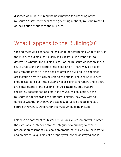disposed of. In determining the best method for disposing of the museum's assets, members of the governing authority must be mindful of their fiduciary duties to the museum.

#### <span id="page-25-0"></span>What Happens to the Building(s)?

Closing museums also face the challenge of determining what to do with the museum building, particularly if it is historic. It is important to determine whether the building is part of the museum collection and, if so, to understand the terms of the deed of gift. There may be a legal requirement set forth in the deed to offer the building to a specified organization before it can be sold to the public. The closing museum should also consider if the building needs significant repairs and if there are components of the building (fixtures, mantles, etc.) that are separately accessioned objects in the museum's collection. If the museum is not dissolving their nonprofit status, they may wish to consider whether they have the capacity to utilize the building as a source of revenue. Options for the museum building include:

Establish an easement for historic structures. An easement will protect the exterior and interior historical integrity of a building forever. A preservation easement is a legal agreement that will ensure the historic and architectural qualities of a property will not be destroyed and is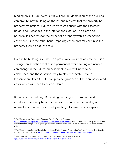binding on all future owners.<sup>34</sup> It will prohibit demolition of the building, can prohibit new building on the lot, and requires that the property be properly maintained. Future owners must consult with the easementholder about changes to the interior and exterior. There are also potential tax benefits for the owner of a property with a preservation easement[.35](#page-26-1) On the other hand, imposing easements may diminish the property's value or deter a sale.

Even if the building is located in a preservation district, an easement is a stronger preservation tool as it is permanent, while zoning ordinances can change in the future. An easement-holder will need to be established, and those options vary by state; the State Historic Preservation Office (SHPO) can provide guidance.<sup>[36](#page-26-2)</sup> There are associated costs which will need to be considered.

Repurpose the building. Depending on the type of structure and its condition, there may be opportunities to repurpose the building and utilize it as a source of income by renting it for events, office space, or

<span id="page-26-0"></span><sup>34</sup> See "Preservation Easements," *National Trust for Historic Preservation,* 

[forum.savingplaces.org/learn/fundamentals/preservation-law/easements.](https://forum.savingplaces.org/learn/fundamentals/preservation-law/easements) The museum should verify the ownership status of the building prior to beginning this process and determine whether any easements or covenants already exist.

<span id="page-26-1"></span><sup>&</sup>lt;sup>35</sup> See "Easements to Protect Historic Properties: A Useful Historic Preservation Tool with Potential Tax Benefits," *National Park Service,* 2010, [nps.gov/tps/tax-incentives/taxdocs/easements-historic-properties.pdf.](https://www.nps.gov/tps/tax-incentives/taxdocs/easements-historic-properties.pdf)

<span id="page-26-2"></span><sup>36</sup> See "State Historic Preservation Offices," *National Park Service*, March 5, 2019, [nps.gov/subjects/nationalregister/state-historic-preservation-offices.htm.](https://www.nps.gov/subjects/nationalregister/state-historic-preservation-offices.htm)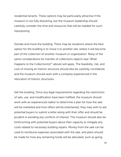residential tenants. These options may be particularly attractive if the museum is not fully dissolving, but the museum leadership should carefully consider the time and resources that will be needed for such repurposing.

Donate and move the building. There may be situations where the best option for the building is to move it to another site, where it will become part of the collection of another museum or organization. Many of the same considerations for transfer of collections objects (see "What Happens to the Collection(s)?" above) will apply. The feasibility, risk, and cost of moving an historic structure should also be carefully considered, and the museum should work with a company experienced in the relocation of historic structures.

Sell the building. Once any legal requirements regarding the restrictions of sale, use, and modification have been fulfilled, the museum should work with an experienced realtor to determine a plan for how the sale will be marketed and how offers will be entertained; they may wish to ask potential buyers to submit a letter along with their offer and should be prudent in avoiding any conflicts of interest. The museum should also be forthcoming with potential buyers about their capacity to mitigate any costs related to necessary building repairs. Money from the sale can be used to reimburse expenses associated with the sale, and plans should be made for how any remaining funds will be allocated, such as going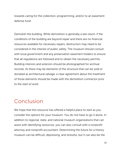towards caring for the collection, programming, and/or to an easement defense fund.

Demolish the building. While demolition is generally a last resort, if the conditions of the building are beyond repair and there are no financial resources available for necessary repairs, destruction may need to be considered in the interest of public safety. The museum should consult with local government and any preservation easement holders to ensure that all regulations are followed and to obtain the necessary permits. Building interiors and exteriors should be photographed for archival records. As there may be elements of the structure that can be sold or donated as architectural salvage, a clear agreement about the treatment of those elements should be made with the demolition contractor prior to the start of work.

#### <span id="page-28-0"></span>Conclusion

We hope that this resource has offered a helpful place to start as you consider the options for your museum. You do not have to go it alone. In addition to regional, state, and national museum organizations that can assist with identifying resources, you can also consult with a nonprofit attorney and nonprofit accountant. Determining the future for a history museum can be difficult, depressing, and stressful, but it can also be the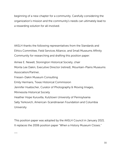beginning of a new chapter for a community. Carefully considering the organization's mission and the community's needs can ultimately lead to a rewarding solution for all involved.

AASLH thanks the following representatives from the Standards and Ethics Committee, Field Services Alliance, and Small Museums Affinity Community for researching and drafting this position paper:

Aimee E. Newell, Stonington Historical Society, chair Monta Lee Dakin, Executive Director (retired), Mountain-Plains Museums Association/Partner, Friesen-Dakin Museum Consulting Emily Hermans, Texas Historical Commission Jennifer Huebscher, Curator of Photography & Moving Images,

Minnesota Historical Society

 $\overline{\phantom{a}}$ 

Heather Hope Kuruvilla, Kutztown University of Pennsylvania

Sally Yerkovich, American-Scandinavian Foundation and Columbia University

This position paper was adopted by the AASLH Council in January 2021. It replaces the 2006 position paper "When a History Museum Closes."

30